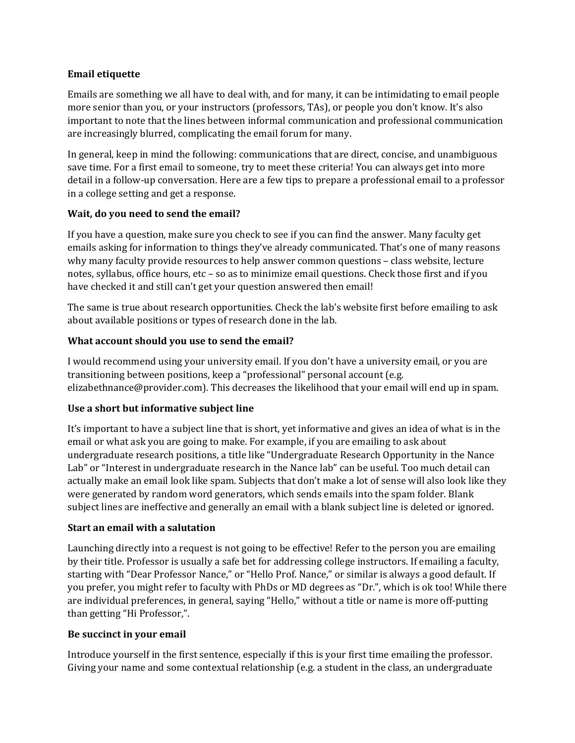### **Email etiquette**

Emails are something we all have to deal with, and for many, it can be intimidating to email people more senior than you, or your instructors (professors, TAs), or people you don't know. It's also important to note that the lines between informal communication and professional communication are increasingly blurred, complicating the email forum for many.

In general, keep in mind the following: communications that are direct, concise, and unambiguous save time. For a first email to someone, try to meet these criteria! You can always get into more detail in a follow-up conversation. Here are a few tips to prepare a professional email to a professor in a college setting and get a response.

## **Wait, do you need to send the email?**

If you have a question, make sure you check to see if you can find the answer. Many faculty get emails asking for information to things they've already communicated. That's one of many reasons why many faculty provide resources to help answer common questions – class website, lecture notes, syllabus, office hours, etc – so as to minimize email questions. Check those first and if you have checked it and still can't get your question answered then email!

The same is true about research opportunities. Check the lab's website first before emailing to ask about available positions or types of research done in the lab.

## **What account should you use to send the email?**

I would recommend using your university email. If you don't have a university email, or you are transitioning between positions, keep a "professional" personal account (e.g. elizabethnance@provider.com). This decreases the likelihood that your email will end up in spam.

# **Use a short but informative subject line**

It's important to have a subject line that is short, yet informative and gives an idea of what is in the email or what ask you are going to make. For example, if you are emailing to ask about undergraduate research positions, a title like "Undergraduate Research Opportunity in the Nance Lab" or "Interest in undergraduate research in the Nance lab" can be useful. Too much detail can actually make an email look like spam. Subjects that don't make a lot of sense will also look like they were generated by random word generators, which sends emails into the spam folder. Blank subject lines are ineffective and generally an email with a blank subject line is deleted or ignored.

### **Start an email with a salutation**

Launching directly into a request is not going to be effective! Refer to the person you are emailing by their title. Professor is usually a safe bet for addressing college instructors. If emailing a faculty, starting with "Dear Professor Nance," or "Hello Prof. Nance," or similar is always a good default. If you prefer, you might refer to faculty with PhDs or MD degrees as "Dr.", which is ok too! While there are individual preferences, in general, saying "Hello," without a title or name is more off-putting than getting "Hi Professor,".

### **Be succinct in your email**

Introduce yourself in the first sentence, especially if this is your first time emailing the professor. Giving your name and some contextual relationship (e.g. a student in the class, an undergraduate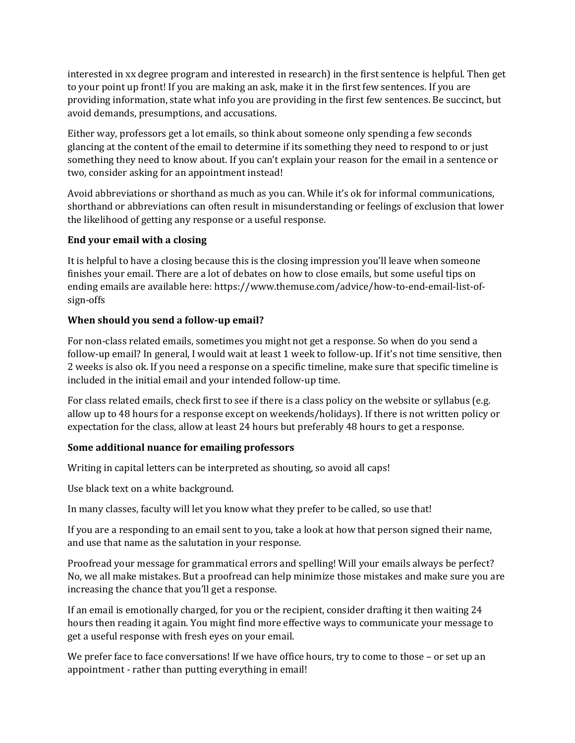interested in xx degree program and interested in research) in the first sentence is helpful. Then get to your point up front! If you are making an ask, make it in the first few sentences. If you are providing information, state what info you are providing in the first few sentences. Be succinct, but avoid demands, presumptions, and accusations.

Either way, professors get a lot emails, so think about someone only spending a few seconds glancing at the content of the email to determine if its something they need to respond to or just something they need to know about. If you can't explain your reason for the email in a sentence or two, consider asking for an appointment instead!

Avoid abbreviations or shorthand as much as you can. While it's ok for informal communications, shorthand or abbreviations can often result in misunderstanding or feelings of exclusion that lower the likelihood of getting any response or a useful response.

# **End your email with a closing**

It is helpful to have a closing because this is the closing impression you'll leave when someone finishes your email. There are a lot of debates on how to close emails, but some useful tips on ending emails are available here: https://www.themuse.com/advice/how-to-end-email-list-ofsign-offs

## **When should you send a follow-up email?**

For non-class related emails, sometimes you might not get a response. So when do you send a follow-up email? In general, I would wait at least 1 week to follow-up. If it's not time sensitive, then 2 weeks is also ok. If you need a response on a specific timeline, make sure that specific timeline is included in the initial email and your intended follow-up time.

For class related emails, check first to see if there is a class policy on the website or syllabus (e.g. allow up to 48 hours for a response except on weekends/holidays). If there is not written policy or expectation for the class, allow at least 24 hours but preferably 48 hours to get a response.

### **Some additional nuance for emailing professors**

Writing in capital letters can be interpreted as shouting, so avoid all caps!

Use black text on a white background.

In many classes, faculty will let you know what they prefer to be called, so use that!

If you are a responding to an email sent to you, take a look at how that person signed their name, and use that name as the salutation in your response.

Proofread your message for grammatical errors and spelling! Will your emails always be perfect? No, we all make mistakes. But a proofread can help minimize those mistakes and make sure you are increasing the chance that you'll get a response.

If an email is emotionally charged, for you or the recipient, consider drafting it then waiting 24 hours then reading it again. You might find more effective ways to communicate your message to get a useful response with fresh eyes on your email.

We prefer face to face conversations! If we have office hours, try to come to those – or set up an appointment - rather than putting everything in email!